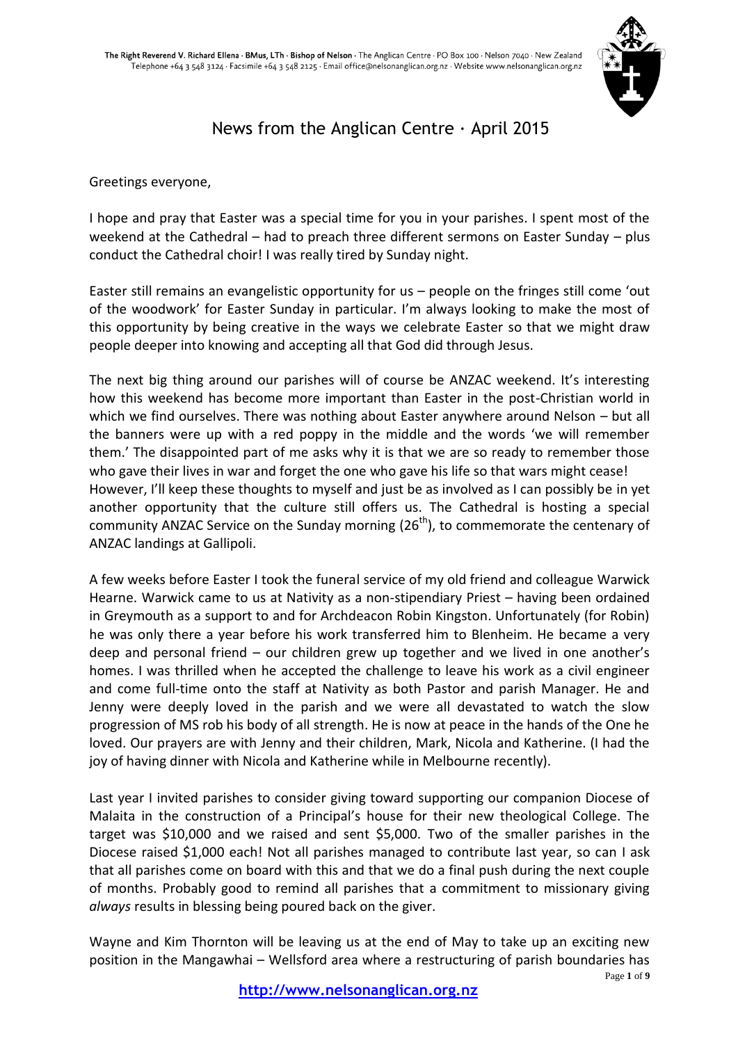

# News from the Anglican Centre  $\cdot$  April 2015

Greetings everyone,

I hope and pray that Easter was a special time for you in your parishes. I spent most of the weekend at the Cathedral – had to preach three different sermons on Easter Sunday – plus conduct the Cathedral choir! I was really tired by Sunday night.

Easter still remains an evangelistic opportunity for us – people on the fringes still come 'out of the woodwork' for Easter Sunday in particular. I'm always looking to make the most of this opportunity by being creative in the ways we celebrate Easter so that we might draw people deeper into knowing and accepting all that God did through Jesus.

The next big thing around our parishes will of course be ANZAC weekend. It's interesting how this weekend has become more important than Easter in the post-Christian world in which we find ourselves. There was nothing about Easter anywhere around Nelson – but all the banners were up with a red poppy in the middle and the words 'we will remember them.' The disappointed part of me asks why it is that we are so ready to remember those who gave their lives in war and forget the one who gave his life so that wars might cease! However, I'll keep these thoughts to myself and just be as involved as I can possibly be in yet another opportunity that the culture still offers us. The Cathedral is hosting a special community ANZAC Service on the Sunday morning  $(26<sup>th</sup>)$ , to commemorate the centenary of ANZAC landings at Gallipoli.

A few weeks before Easter I took the funeral service of my old friend and colleague Warwick Hearne. Warwick came to us at Nativity as a non-stipendiary Priest – having been ordained in Greymouth as a support to and for Archdeacon Robin Kingston. Unfortunately (for Robin) he was only there a year before his work transferred him to Blenheim. He became a very deep and personal friend – our children grew up together and we lived in one another's homes. I was thrilled when he accepted the challenge to leave his work as a civil engineer and come full-time onto the staff at Nativity as both Pastor and parish Manager. He and Jenny were deeply loved in the parish and we were all devastated to watch the slow progression of MS rob his body of all strength. He is now at peace in the hands of the One he loved. Our prayers are with Jenny and their children, Mark, Nicola and Katherine. (I had the joy of having dinner with Nicola and Katherine while in Melbourne recently).

Last year I invited parishes to consider giving toward supporting our companion Diocese of Malaita in the construction of a Principal's house for their new theological College. The target was \$10,000 and we raised and sent \$5,000. Two of the smaller parishes in the Diocese raised \$1,000 each! Not all parishes managed to contribute last year, so can I ask that all parishes come on board with this and that we do a final push during the next couple of months. Probably good to remind all parishes that a commitment to missionary giving *always* results in blessing being poured back on the giver.

Wayne and Kim Thornton will be leaving us at the end of May to take up an exciting new position in the Mangawhai – Wellsford area where a restructuring of parish boundaries has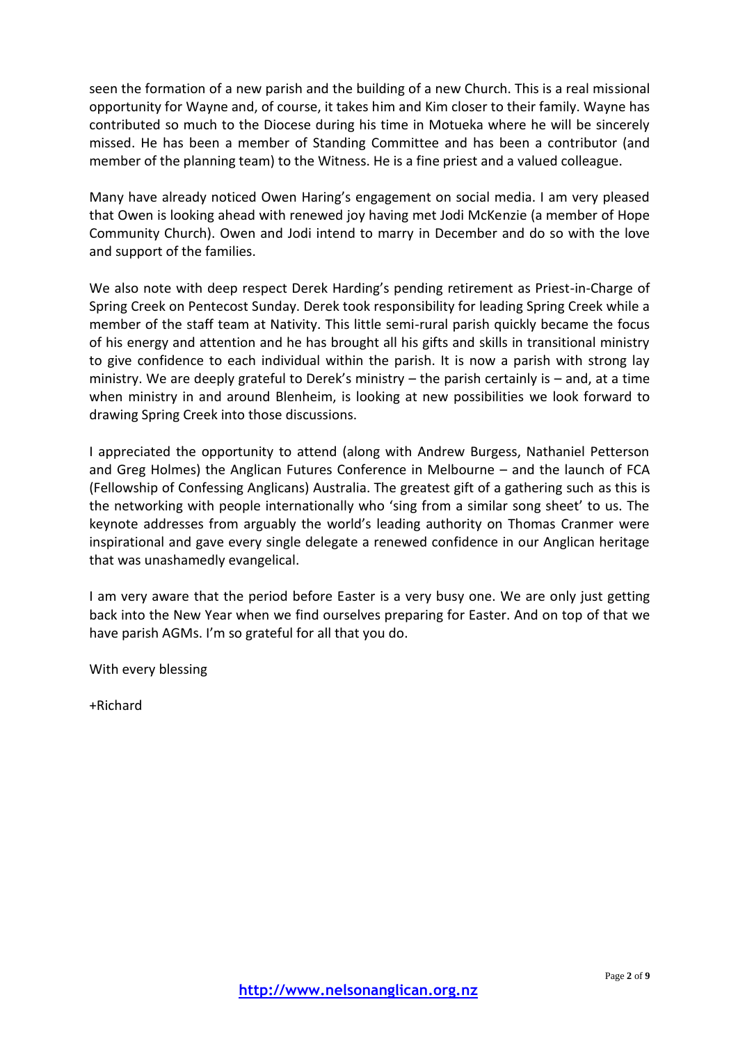seen the formation of a new parish and the building of a new Church. This is a real missional opportunity for Wayne and, of course, it takes him and Kim closer to their family. Wayne has contributed so much to the Diocese during his time in Motueka where he will be sincerely missed. He has been a member of Standing Committee and has been a contributor (and member of the planning team) to the Witness. He is a fine priest and a valued colleague.

Many have already noticed Owen Haring's engagement on social media. I am very pleased that Owen is looking ahead with renewed joy having met Jodi McKenzie (a member of Hope Community Church). Owen and Jodi intend to marry in December and do so with the love and support of the families.

We also note with deep respect Derek Harding's pending retirement as Priest-in-Charge of Spring Creek on Pentecost Sunday. Derek took responsibility for leading Spring Creek while a member of the staff team at Nativity. This little semi-rural parish quickly became the focus of his energy and attention and he has brought all his gifts and skills in transitional ministry to give confidence to each individual within the parish. It is now a parish with strong lay ministry. We are deeply grateful to Derek's ministry – the parish certainly is – and, at a time when ministry in and around Blenheim, is looking at new possibilities we look forward to drawing Spring Creek into those discussions.

I appreciated the opportunity to attend (along with Andrew Burgess, Nathaniel Petterson and Greg Holmes) the Anglican Futures Conference in Melbourne – and the launch of FCA (Fellowship of Confessing Anglicans) Australia. The greatest gift of a gathering such as this is the networking with people internationally who 'sing from a similar song sheet' to us. The keynote addresses from arguably the world's leading authority on Thomas Cranmer were inspirational and gave every single delegate a renewed confidence in our Anglican heritage that was unashamedly evangelical.

I am very aware that the period before Easter is a very busy one. We are only just getting back into the New Year when we find ourselves preparing for Easter. And on top of that we have parish AGMs. I'm so grateful for all that you do.

With every blessing

+Richard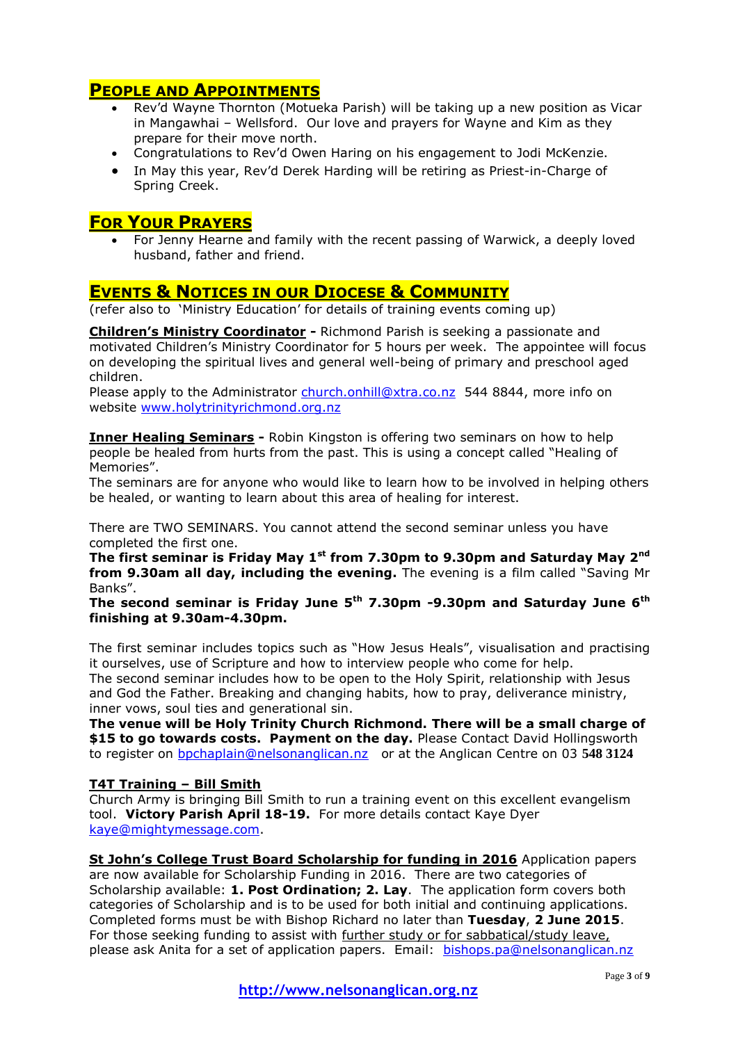## **PEOPLE AND APPOINTMENTS**

- Rev'd Wayne Thornton (Motueka Parish) will be taking up a new position as Vicar in Mangawhai – Wellsford. Our love and prayers for Wayne and Kim as they prepare for their move north.
- Congratulations to Rev'd Owen Haring on his engagement to Jodi McKenzie.
- In May this year, Rev'd Derek Harding will be retiring as Priest-in-Charge of Spring Creek.

## **FOR YOUR PRAYERS**

 For Jenny Hearne and family with the recent passing of Warwick, a deeply loved husband, father and friend.

## **EVENTS & NOTICES IN OUR DIOCESE & COMMUNITY**

(refer also to 'Ministry Education' for details of training events coming up)

**Children's Ministry Coordinator -** Richmond Parish is seeking a passionate and motivated Children's Ministry Coordinator for 5 hours per week. The appointee will focus on developing the spiritual lives and general well-being of primary and preschool aged children.

Please apply to the Administrator [church.onhill@xtra.co.nz](mailto:church.onhill@xtra.co.nz) 544 8844, more info on website [www.holytrinityrichmond.org.nz](http://www.holytrinityrichmond.org.nz/)

**Inner Healing Seminars -** Robin Kingston is offering two seminars on how to help people be healed from hurts from the past. This is using a concept called "Healing of Memories".

The seminars are for anyone who would like to learn how to be involved in helping others be healed, or wanting to learn about this area of healing for interest.

There are TWO SEMINARS. You cannot attend the second seminar unless you have completed the first one.

**The first seminar is Friday May 1st from 7.30pm to 9.30pm and Saturday May 2nd from 9.30am all day, including the evening.** The evening is a film called "Saving Mr Banks".

**The second seminar is Friday June 5th 7.30pm -9.30pm and Saturday June 6th finishing at 9.30am-4.30pm.**

The first seminar includes topics such as "How Jesus Heals", visualisation and practising it ourselves, use of Scripture and how to interview people who come for help. The second seminar includes how to be open to the Holy Spirit, relationship with Jesus and God the Father. Breaking and changing habits, how to pray, deliverance ministry, inner vows, soul ties and generational sin.

**The venue will be Holy Trinity Church Richmond. There will be a small charge of**  \$15 to go towards costs. Payment on the day. Please Contact David Hollingsworth to register on [bpchaplain@nelsonanglican.nz](mailto:bpchaplain@nelsonanglican.nz) or at the Anglican Centre on 03 **548 3124**

#### **T4T Training – Bill Smith**

Church Army is bringing Bill Smith to run a training event on this excellent evangelism tool. **Victory Parish April 18-19.** For more details contact Kaye Dyer [kaye@mightymessage.com.](mailto:kaye@mightymessage.com)

**St John's College Trust Board Scholarship for funding in 2016** Application papers are now available for Scholarship Funding in 2016. There are two categories of Scholarship available: 1. Post Ordination; 2. Lay. The application form covers both categories of Scholarship and is to be used for both initial and continuing applications. Completed forms must be with Bishop Richard no later than **Tuesday**, **2 June 2015**. For those seeking funding to assist with further study or for sabbatical/study leave, please ask Anita for a set of application papers. Email: [bishops.pa@nelsonanglican.nz](mailto:bishops.pa@nelsonanglican.nz)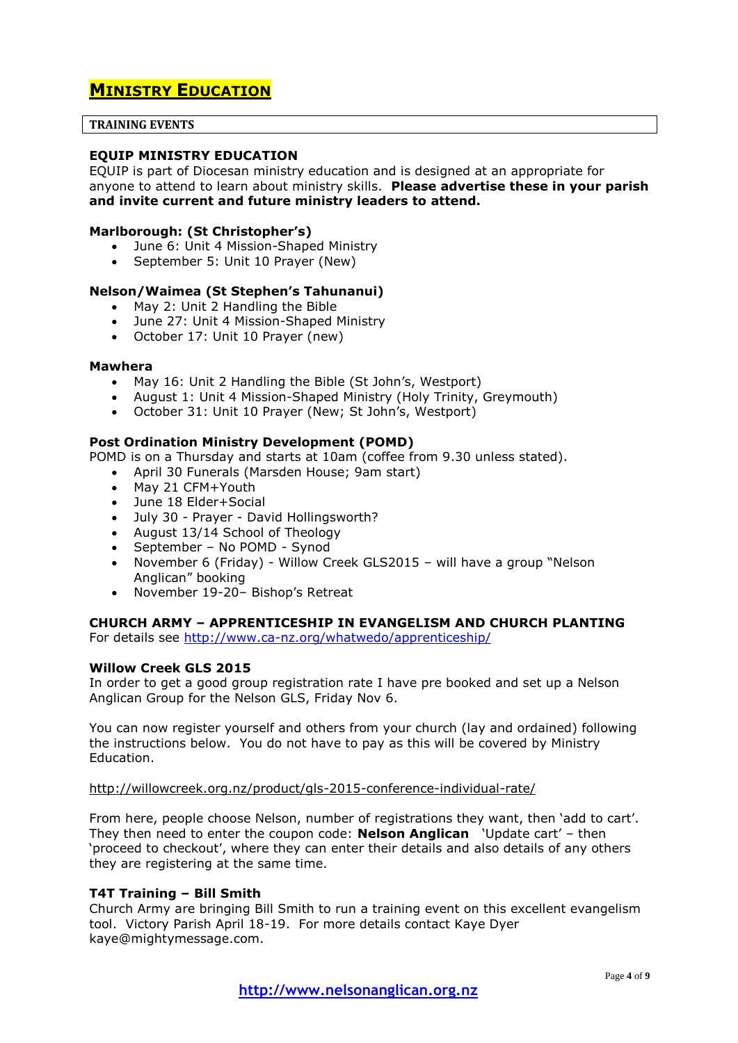## **MINISTRY EDUCATION**

#### **TRAINING EVENTS**

#### **EQUIP MINISTRY EDUCATION**

EQUIP is part of Diocesan ministry education and is designed at an appropriate for anyone to attend to learn about ministry skills. **Please advertise these in your parish and invite current and future ministry leaders to attend.**

#### **Marlborough: (St Christopher's)**

- June 6: Unit 4 Mission-Shaped Ministry
- September 5: Unit 10 Prayer (New)

#### **Nelson/Waimea (St Stephen's Tahunanui)**

- May 2: Unit 2 Handling the Bible
- June 27: Unit 4 Mission-Shaped Ministry
- October 17: Unit 10 Prayer (new)

#### **Mawhera**

- May 16: Unit 2 Handling the Bible (St John's, Westport)
- August 1: Unit 4 Mission-Shaped Ministry (Holy Trinity, Greymouth)
- October 31: Unit 10 Prayer (New; St John's, Westport)

#### **Post Ordination Ministry Development (POMD)**

POMD is on a Thursday and starts at 10am (coffee from 9.30 unless stated).

- April 30 Funerals (Marsden House; 9am start)
- May 21 CFM+Youth
- June 18 Elder+Social
- July 30 Prayer David Hollingsworth?
- August 13/14 School of Theology
- September No POMD Synod
- November 6 (Friday) Willow Creek GLS2015 will have a group "Nelson Anglican" booking
- November 19-20– Bishop's Retreat

#### **CHURCH ARMY – APPRENTICESHIP IN EVANGELISM AND CHURCH PLANTING**

For details see<http://www.ca-nz.org/whatwedo/apprenticeship/>

#### **Willow Creek GLS 2015**

In order to get a good group registration rate I have pre booked and set up a Nelson Anglican Group for the Nelson GLS, Friday Nov 6.

You can now register yourself and others from your church (lay and ordained) following the instructions below. You do not have to pay as this will be covered by Ministry Education.

<http://willowcreek.org.nz/product/gls-2015-conference-individual-rate/>

From here, people choose Nelson, number of registrations they want, then 'add to cart'. They then need to enter the coupon code: **Nelson Anglican** 'Update cart' – then 'proceed to checkout', where they can enter their details and also details of any others they are registering at the same time.

#### **T4T Training – Bill Smith**

Church Army are bringing Bill Smith to run a training event on this excellent evangelism tool. Victory Parish April 18-19. For more details contact Kaye Dyer kaye@mightymessage.com.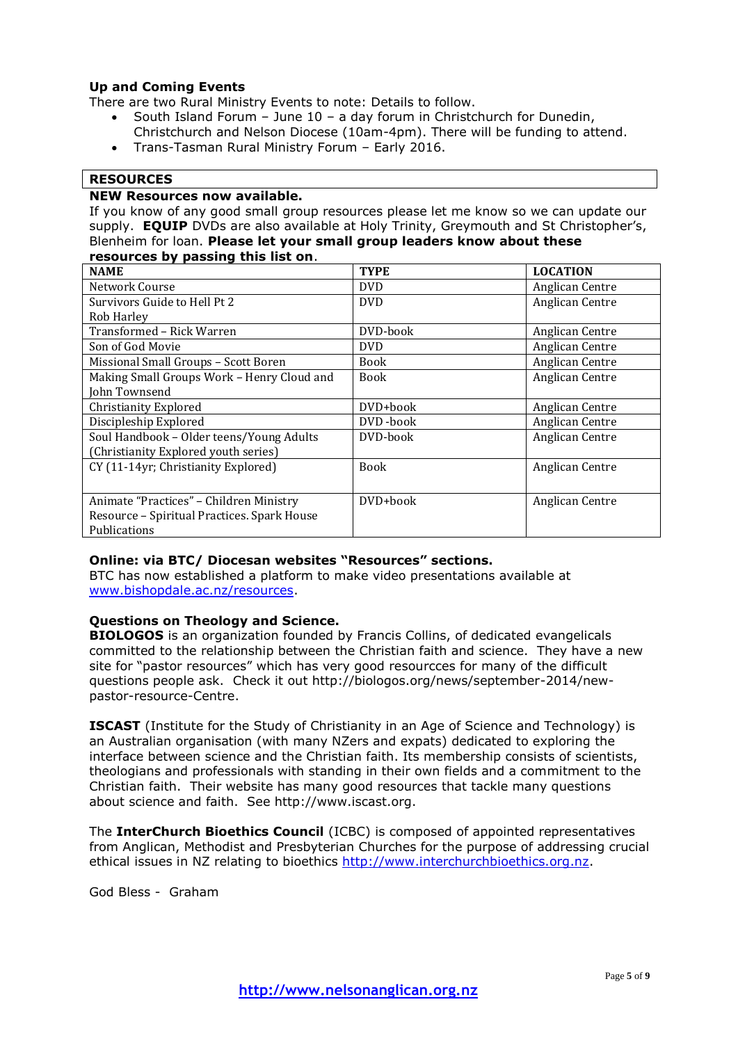#### **Up and Coming Events**

There are two Rural Ministry Events to note: Details to follow.

- South Island Forum June 10 a day forum in Christchurch for Dunedin,
- Christchurch and Nelson Diocese (10am-4pm). There will be funding to attend.
- Trans-Tasman Rural Ministry Forum Early 2016.

#### **RESOURCES**

#### **NEW Resources now available.**

If you know of any good small group resources please let me know so we can update our supply. **EQUIP** DVDs are also available at Holy Trinity, Greymouth and St Christopher's, Blenheim for loan. **Please let your small group leaders know about these resources by passing this list on**.

| <b>NAME</b>                                 | <b>TYPE</b> | <b>LOCATION</b> |
|---------------------------------------------|-------------|-----------------|
| Network Course                              | <b>DVD</b>  | Anglican Centre |
| Survivors Guide to Hell Pt 2                | <b>DVD</b>  | Anglican Centre |
| Rob Harley                                  |             |                 |
| Transformed - Rick Warren                   | DVD-book    | Anglican Centre |
| Son of God Movie                            | <b>DVD</b>  | Anglican Centre |
| Missional Small Groups - Scott Boren        | <b>Book</b> | Anglican Centre |
| Making Small Groups Work - Henry Cloud and  | <b>Book</b> | Anglican Centre |
| John Townsend                               |             |                 |
| <b>Christianity Explored</b>                | DVD+book    | Anglican Centre |
| Discipleship Explored                       | DVD-book    | Anglican Centre |
| Soul Handbook - Older teens/Young Adults    | DVD-book    | Anglican Centre |
| (Christianity Explored youth series)        |             |                 |
| CY (11-14yr; Christianity Explored)         | <b>Book</b> | Anglican Centre |
|                                             |             |                 |
| Animate "Practices" - Children Ministry     | DVD+book    | Anglican Centre |
| Resource - Spiritual Practices. Spark House |             |                 |
| Publications                                |             |                 |

#### **Online: via BTC/ Diocesan websites "Resources" sections.**

BTC has now established a platform to make video presentations available at [www.bishopdale.ac.nz/resources.](http://www.bishopdale.ac.nz/resources)

#### **Questions on Theology and Science.**

**BIOLOGOS** is an organization founded by Francis Collins, of dedicated evangelicals committed to the relationship between the Christian faith and science. They have a new site for "pastor resources" which has very good resourcces for many of the difficult questions people ask. Check it out http://biologos.org/news/september-2014/newpastor-resource-Centre.

**ISCAST** (Institute for the Study of Christianity in an Age of Science and Technology) is an Australian organisation (with many NZers and expats) dedicated to exploring the interface between science and the Christian faith. Its membership consists of scientists, theologians and professionals with standing in their own fields and a commitment to the Christian faith. Their website has many good resources that tackle many questions about science and faith. See http://www.iscast.org.

The **InterChurch Bioethics Council** (ICBC) is composed of appointed representatives from Anglican, Methodist and Presbyterian Churches for the purpose of addressing crucial ethical issues in NZ relating to bioethics [http://www.interchurchbioethics.org.nz.](http://www.interchurchbioethics.org.nz/)

God Bless - Graham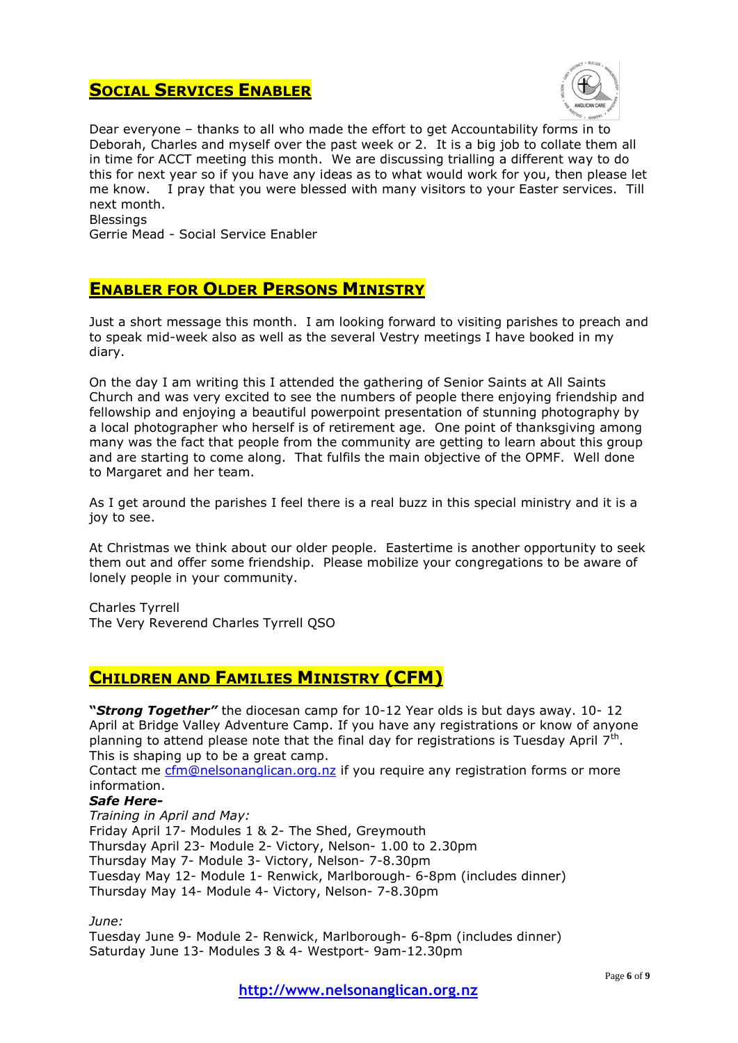## **SOCIAL SERVICES ENABLER**



Dear everyone – thanks to all who made the effort to get Accountability forms in to Deborah, Charles and myself over the past week or 2. It is a big job to collate them all in time for ACCT meeting this month. We are discussing trialling a different way to do this for next year so if you have any ideas as to what would work for you, then please let me know. I pray that you were blessed with many visitors to your Easter services. Till next month. Blessings

Gerrie Mead - Social Service Enabler

## **ENABLER FOR OLDER PERSONS MINISTRY**

Just a short message this month. I am looking forward to visiting parishes to preach and to speak mid-week also as well as the several Vestry meetings I have booked in my diary.

On the day I am writing this I attended the gathering of Senior Saints at All Saints Church and was very excited to see the numbers of people there enjoying friendship and fellowship and enjoying a beautiful powerpoint presentation of stunning photography by a local photographer who herself is of retirement age. One point of thanksgiving among many was the fact that people from the community are getting to learn about this group and are starting to come along. That fulfils the main objective of the OPMF. Well done to Margaret and her team.

As I get around the parishes I feel there is a real buzz in this special ministry and it is a joy to see.

At Christmas we think about our older people. Eastertime is another opportunity to seek them out and offer some friendship. Please mobilize your congregations to be aware of lonely people in your community.

Charles Tyrrell The Very Reverend Charles Tyrrell QSO

## **CHILDREN AND FAMILIES MINISTRY (CFM)**

**"***Strong Together"* the diocesan camp for 10-12 Year olds is but days away. 10- 12 April at Bridge Valley Adventure Camp. If you have any registrations or know of anyone planning to attend please note that the final day for registrations is Tuesday April  $7<sup>th</sup>$ . This is shaping up to be a great camp.

Contact me [cfm@nelsonanglican.org.nz](mailto:cfm@nelsonanglican.org.nz) if you require any registration forms or more information.

#### *Safe Here-*

*Training in April and May:* Friday April 17- Modules 1 & 2- The Shed, Greymouth Thursday April 23- Module 2- Victory, Nelson- 1.00 to 2.30pm Thursday May 7- Module 3- Victory, Nelson- 7-8.30pm Tuesday May 12- Module 1- Renwick, Marlborough- 6-8pm (includes dinner) Thursday May 14- Module 4- Victory, Nelson- 7-8.30pm

*June:*

Tuesday June 9- Module 2- Renwick, Marlborough- 6-8pm (includes dinner) Saturday June 13- Modules 3 & 4- Westport- 9am-12.30pm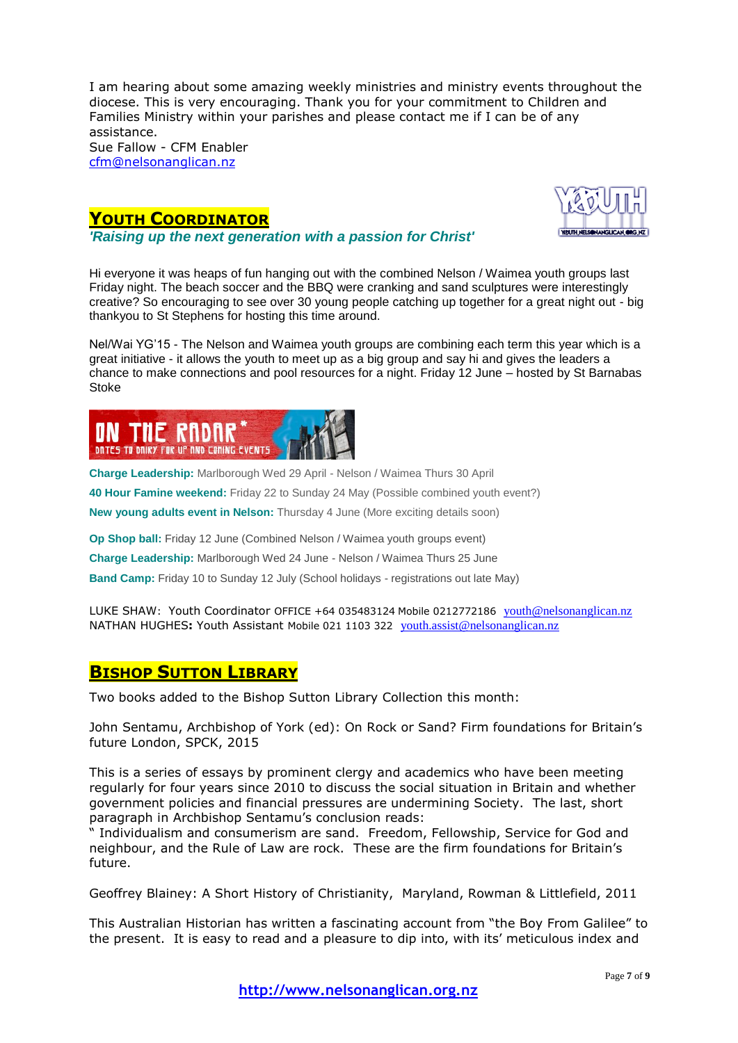I am hearing about some amazing weekly ministries and ministry events throughout the diocese. This is very encouraging. Thank you for your commitment to Children and Families Ministry within your parishes and please contact me if I can be of any assistance. Sue Fallow - CFM Enabler [cfm@nelsonanglican.nz](mailto:cfm@nelsonanglican.nz)

## **YOUTH COORDINATOR**

*'Raising up the next generation with a passion for Christ'*



Hi everyone it was heaps of fun hanging out with the combined Nelson / Waimea youth groups last Friday night. The beach soccer and the BBQ were cranking and sand sculptures were interestingly creative? So encouraging to see over 30 young people catching up together for a great night out - big thankyou to St Stephens for hosting this time around.

Nel/Wai YG'15 - The Nelson and Waimea youth groups are combining each term this year which is a great initiative - it allows the youth to meet up as a big group and say hi and gives the leaders a chance to make connections and pool resources for a night. Friday 12 June – hosted by St Barnabas Stoke



**Charge Leadership:** Marlborough Wed 29 April - Nelson / Waimea Thurs 30 April

**40 Hour Famine weekend:** Friday 22 to Sunday 24 May (Possible combined youth event?)

**New young adults event in Nelson:** Thursday 4 June (More exciting details soon)

**Op Shop ball:** Friday 12 June (Combined Nelson / Waimea youth groups event)

**Charge Leadership:** Marlborough Wed 24 June - Nelson / Waimea Thurs 25 June

**Band Camp:** Friday 10 to Sunday 12 July (School holidays - registrations out late May)

LUKE SHAW: Youth Coordinator OFFICE +64 035483124 Mobile 0212772186 vouth@nelsonanglican.nz NATHAN HUGHES**:** Youth Assistant Mobile 021 1103 322 [youth.assist@nelsonanglican.nz](mailto:youth.assist@nelsonanglican.nz)

## **BISHOP SUTTON LIBRARY**

Two books added to the Bishop Sutton Library Collection this month:

John Sentamu, Archbishop of York (ed): On Rock or Sand? Firm foundations for Britain's future London, SPCK, 2015

This is a series of essays by prominent clergy and academics who have been meeting regularly for four years since 2010 to discuss the social situation in Britain and whether government policies and financial pressures are undermining Society. The last, short paragraph in Archbishop Sentamu's conclusion reads:

" Individualism and consumerism are sand. Freedom, Fellowship, Service for God and neighbour, and the Rule of Law are rock. These are the firm foundations for Britain's future.

Geoffrey Blainey: A Short History of Christianity, Maryland, Rowman & Littlefield, 2011

This Australian Historian has written a fascinating account from "the Boy From Galilee" to the present. It is easy to read and a pleasure to dip into, with its' meticulous index and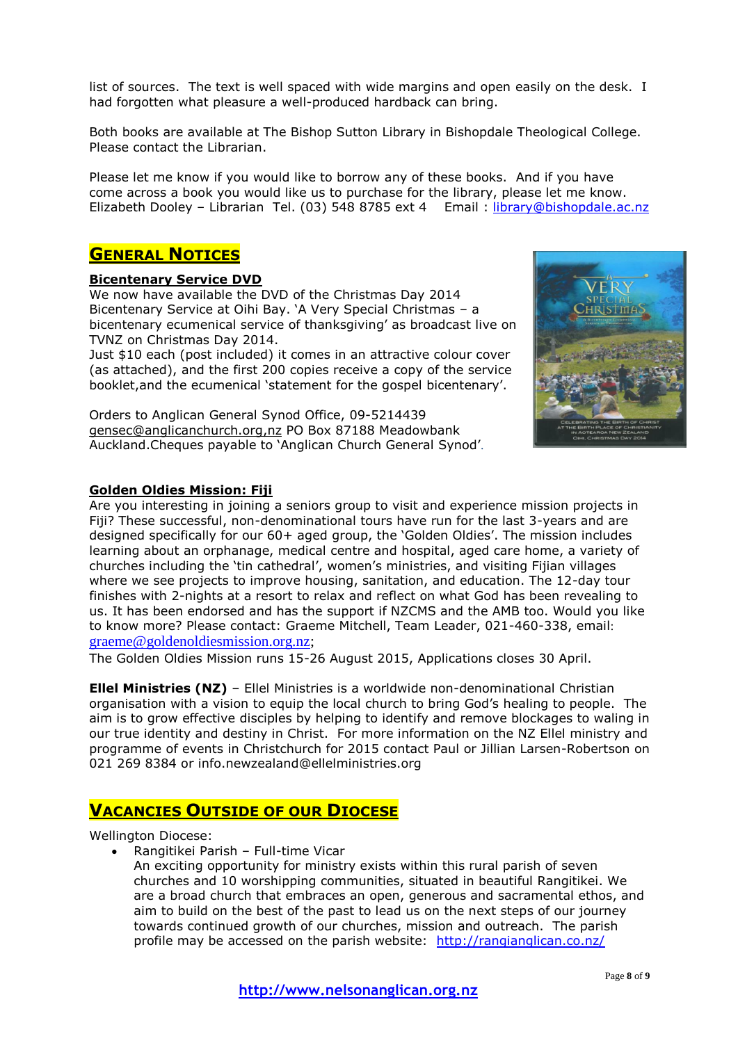list of sources. The text is well spaced with wide margins and open easily on the desk. I had forgotten what pleasure a well-produced hardback can bring.

Both books are available at The Bishop Sutton Library in Bishopdale Theological College. Please contact the Librarian.

Please let me know if you would like to borrow any of these books. And if you have come across a book you would like us to purchase for the library, please let me know. Elizabeth Dooley – Librarian Tel. (03) 548 8785 ext 4 Email : [library@bishopdale.ac.nz](mailto:library@bishopdale.ac.nz)

## **GENERAL NOTICES**

#### **Bicentenary Service DVD**

We now have available the DVD of the Christmas Day 2014 Bicentenary Service at Oihi Bay. 'A Very Special Christmas – a bicentenary ecumenical service of thanksgiving' as broadcast live on TVNZ on Christmas Day 2014.

Just \$10 each (post included) it comes in an attractive colour cover (as attached), and the first 200 copies receive a copy of the service booklet,and the ecumenical 'statement for the gospel bicentenary'.

Orders to Anglican General Synod Office, 09-5214439 [gensec@anglicanchurch.org,nz](mailto:gensec@anglicanchurch.org,nz) PO Box 87188 Meadowbank Auckland.Cheques payable to 'Anglican Church General Synod'.



#### **Golden Oldies Mission: Fiji**

Are you interesting in joining a seniors group to visit and experience mission projects in Fiji? These successful, non-denominational tours have run for the last 3-years and are designed specifically for our 60+ aged group, the 'Golden Oldies'. The mission includes learning about an orphanage, medical centre and hospital, aged care home, a variety of churches including the 'tin cathedral', women's ministries, and visiting Fijian villages where we see projects to improve housing, sanitation, and education. The 12-day tour finishes with 2-nights at a resort to relax and reflect on what God has been revealing to us. It has been endorsed and has the support if NZCMS and the AMB too. Would you like to know more? Please contact: Graeme Mitchell, Team Leader, 021-460-338, email: [graeme@goldenoldiesmission.org.nz;](mailto:graeme@goldenoldiesmission.org.nz)

The Golden Oldies Mission runs 15-26 August 2015, Applications closes 30 April.

**Ellel Ministries (NZ)** – Ellel Ministries is a worldwide non-denominational Christian organisation with a vision to equip the local church to bring God's healing to people. The aim is to grow effective disciples by helping to identify and remove blockages to waling in our true identity and destiny in Christ. For more information on the NZ Ellel ministry and programme of events in Christchurch for 2015 contact Paul or Jillian Larsen-Robertson on 021 269 8384 or info.newzealand@ellelministries.org

## **VACANCIES OUTSIDE OF OUR DIOCESE**

Wellington Diocese:

- Rangitikei Parish Full-time Vicar
	- An exciting opportunity for ministry exists within this rural parish of seven churches and 10 worshipping communities, situated in beautiful Rangitikei. We are a broad church that embraces an open, generous and sacramental ethos, and aim to build on the best of the past to lead us on the next steps of our journey towards continued growth of our churches, mission and outreach. The parish profile may be accessed on the parish website: http://rangianglican.co.nz/